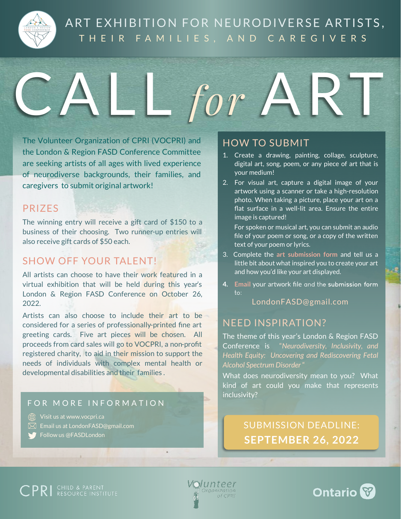

# ART EXHIBITION FOR NEURODIVERSE ARTISTS, THEIR FAMILIES, AND CAREGIVERS

L for ART

The Volunteer Organization of CPRI (VOCPRI) and the London & Region FASD Conference Committee are seeking artists of all ages with lived experience of neurodiverse backgrounds, their families, and caregivers to submit original artwork!

## PRIZES

The winning entry will receive a gift card of \$150 to a business of their choosing. Two runner-up entries will also receive gift cards of \$50 each.

# SHOW OFF YOUR TALENT!

All artists can choose to have their work featured in a virtual exhibition that will be held during this year's London & Region FASD Conference on October 26, 2022.

Artists can also choose to include their art to be considered for a series of professionally-printed fine art greeting cards. Five art pieces will be chosen. All proceeds from card sales will go to VOCPRI, a non-profit registered charity, to aid in their mission to support the needs of individuals with complex mental health or developmental disabilities and their families .

#### FOR MORE INFORMATION

Wisit us at www.vocpri.ca

- $\boxtimes$  Email us at LondonFASD@gmail.com
- **Follow us @FASDLondon**

## HOW TO SUBMIT

- 1. Create a drawing, painting, collage, sculpture, digital art, song, poem, or any piece of art that is your medium!
- 2. For visual art, capture a digital image of your artwork using a scanner or take a high-resolution photo. When taking a picture, place your art on a flat surface in a well-lit area. Ensure the entire image is captured!

For spoken or musical art, you can submit an audio file of your poem or song, or a copy of the written text of your poem or lyrics.

- 3. Complete the **art submission form** and tell us a little bit about what inspired you to create your art and how you'd like your art displayed.
- **4. Email** your artwork file and the **submission form** to:

#### LondonFASD@gmail.com

#### NEED INSPIRATION?

The theme of this year's London & Region FASD Conference is "*Neurodiversity, Inclusivity, and Health Equity: Uncovering and Rediscovering Fetal Alcohol Spectrum Disorder* "

What does neurodiversity mean to you? What kind of art could you make that represents inclusivity?

> SUBMISSION DEADLINE: **SEPTEMBER 26, 2022**

**CPRI** CHILD & PARENT

**\*Junteer** Organization of CPRI